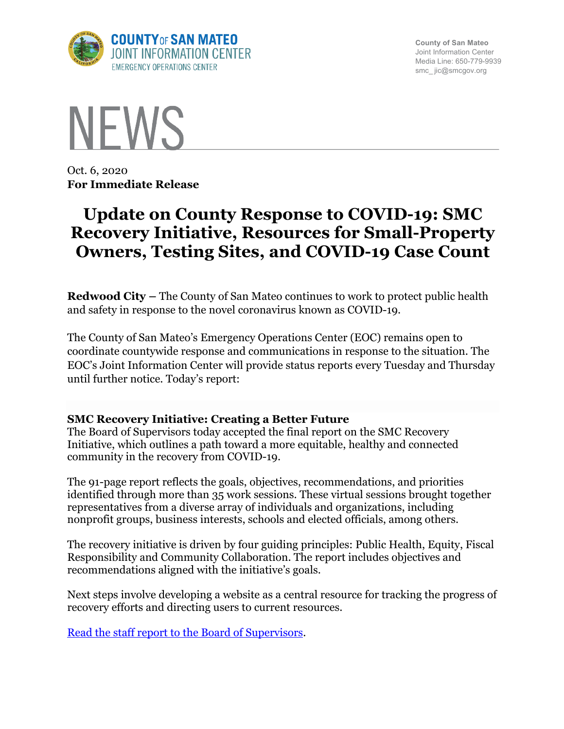

**County of San Mateo** Joint Information Center Media Line: 650-779-9939 smc\_ jic@smcgov.org



Oct. 6, 2020 **For Immediate Release**

# **Update on County Response to COVID-19: SMC Recovery Initiative, Resources for Small-Property Owners, Testing Sites, and COVID-19 Case Count**

**Redwood City –** The County of San Mateo continues to work to protect public health and safety in response to the novel coronavirus known as COVID-19.

The County of San Mateo's Emergency Operations Center (EOC) remains open to coordinate countywide response and communications in response to the situation. The EOC's Joint Information Center will provide status reports every Tuesday and Thursday until further notice. Today's report:

#### **SMC Recovery Initiative: Creating a Better Future**

The Board of Supervisors today accepted the final report on the SMC Recovery Initiative, which outlines a path toward a more equitable, healthy and connected community in the recovery from COVID-19.

The 91-page report reflects the goals, objectives, recommendations, and priorities identified through more than 35 work sessions. These virtual sessions brought together representatives from a diverse array of individuals and organizations, including nonprofit groups, business interests, schools and elected officials, among others.

The recovery initiative is driven by four guiding principles: Public Health, Equity, Fiscal Responsibility and Community Collaboration. The report includes objectives and recommendations aligned with the initiative's goals.

Next steps involve developing a website as a central resource for tracking the progress of recovery efforts and directing users to current resources.

Read the staff report to the Board of Supervisors.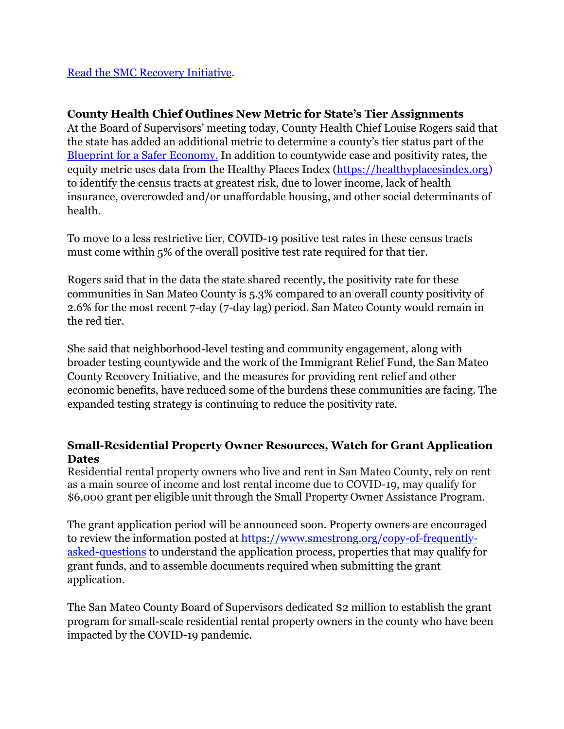Read the SMC Recovery Initiative.

## **County Health Chief Outlines New Metric for State's Tier Assignments**

At the Board of Supervisors' meeting today, County Health Chief Louise Rogers said that the state has added an additional metric to determine a county's tier status part of the Blueprint for a Safer Economy. In addition to countywide case and positivity rates, the equity metric uses data from the Healthy Places Index (https://healthyplacesindex.org) to identify the census tracts at greatest risk, due to lower income, lack of health insurance, overcrowded and/or unaffordable housing, and other social determinants of health.

To move to a less restrictive tier, COVID-19 positive test rates in these census tracts must come within 5% of the overall positive test rate required for that tier.

Rogers said that in the data the state shared recently, the positivity rate for these communities in San Mateo County is 5.3% compared to an overall county positivity of 2.6% for the most recent 7-day (7-day lag) period. San Mateo County would remain in the red tier.

She said that neighborhood-level testing and community engagement, along with broader testing countywide and the work of the Immigrant Relief Fund, the San Mateo County Recovery Initiative, and the measures for providing rent relief and other economic benefits, have reduced some of the burdens these communities are facing. The expanded testing strategy is continuing to reduce the positivity rate.

## **Small-Residential Property Owner Resources, Watch for Grant Application Dates**

Residential rental property owners who live and rent in San Mateo County, rely on rent as a main source of income and lost rental income due to COVID-19, may qualify for \$6,000 grant per eligible unit through the Small Property Owner Assistance Program.

The grant application period will be announced soon. Property owners are encouraged to review the information posted at https://www.smcstrong.org/copy-of-frequentlyasked-questions to understand the application process, properties that may qualify for grant funds, and to assemble documents required when submitting the grant application.

The San Mateo County Board of Supervisors dedicated \$2 million to establish the grant program for small-scale residential rental property owners in the county who have been impacted by the COVID-19 pandemic.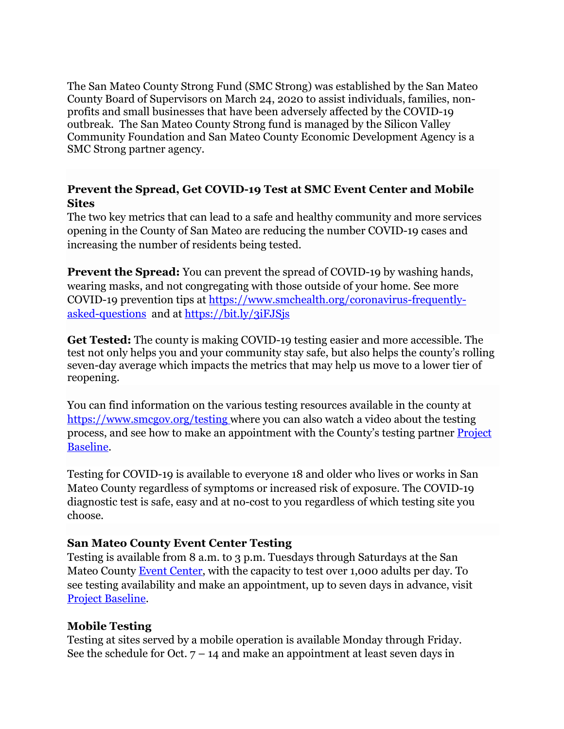The San Mateo County Strong Fund (SMC Strong) was established by the San Mateo County Board of Supervisors on March 24, 2020 to assist individuals, families, nonprofits and small businesses that have been adversely affected by the COVID-19 outbreak. The San Mateo County Strong fund is managed by the Silicon Valley Community Foundation and San Mateo County Economic Development Agency is a SMC Strong partner agency.

### **Prevent the Spread, Get COVID-19 Test at SMC Event Center and Mobile Sites**

The two key metrics that can lead to a safe and healthy community and more services opening in the County of San Mateo are reducing the number COVID-19 cases and increasing the number of residents being tested.

**Prevent the Spread:** You can prevent the spread of COVID-19 by washing hands, wearing masks, and not congregating with those outside of your home. See more COVID-19 prevention tips at https://www.smchealth.org/coronavirus-frequentlyasked-questions and at https://bit.ly/3iFJSjs

**Get Tested:** The county is making COVID-19 testing easier and more accessible. The test not only helps you and your community stay safe, but also helps the county's rolling seven-day average which impacts the metrics that may help us move to a lower tier of reopening.

You can find information on the various testing resources available in the county at https://www.smcgov.org/testing where you can also watch a video about the testing process, and see how to make an appointment with the County's testing partner Project Baseline.

Testing for COVID-19 is available to everyone 18 and older who lives or works in San Mateo County regardless of symptoms or increased risk of exposure. The COVID-19 diagnostic test is safe, easy and at no-cost to you regardless of which testing site you choose.

#### **San Mateo County Event Center Testing**

Testing is available from 8 a.m. to 3 p.m. Tuesdays through Saturdays at the San Mateo County Event Center, with the capacity to test over 1,000 adults per day. To see testing availability and make an appointment, up to seven days in advance, visit Project Baseline.

#### **Mobile Testing**

Testing at sites served by a mobile operation is available Monday through Friday. See the schedule for Oct.  $7 - 14$  and make an appointment at least seven days in